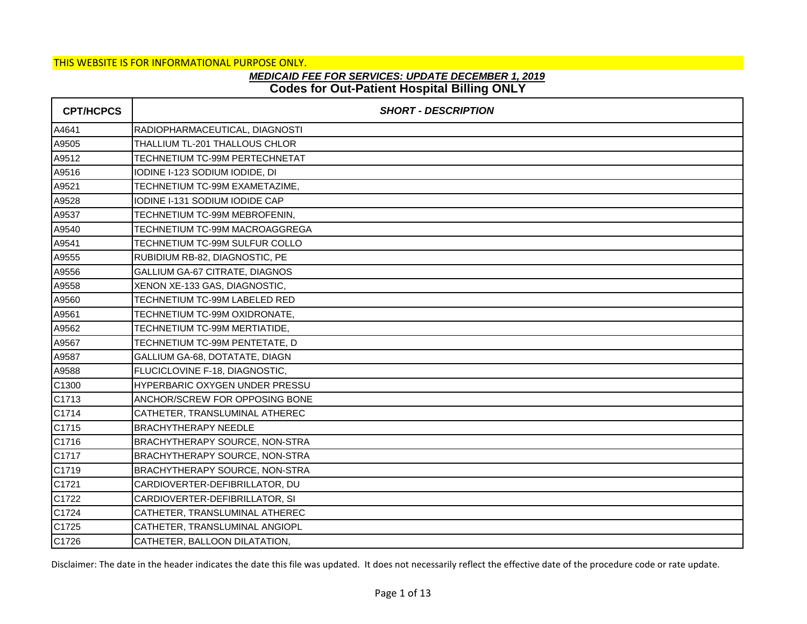## **Codes for Out-Patient Hospital Billing ONLY** *MEDICAID FEE FOR SERVICES: UPDATE DECEMBER 1, 2019*

| <b>CPT/HCPCS</b> | <b>SHORT - DESCRIPTION</b>            |
|------------------|---------------------------------------|
| A4641            | RADIOPHARMACEUTICAL, DIAGNOSTI        |
| A9505            | THALLIUM TL-201 THALLOUS CHLOR        |
| A9512            | TECHNETIUM TC-99M PERTECHNETAT        |
| A9516            | IODINE I-123 SODIUM IODIDE, DI        |
| A9521            | TECHNETIUM TC-99M EXAMETAZIME,        |
| A9528            | IODINE I-131 SODIUM IODIDE CAP        |
| A9537            | TECHNETIUM TC-99M MEBROFENIN,         |
| A9540            | TECHNETIUM TC-99M MACROAGGREGA        |
| A9541            | TECHNETIUM TC-99M SULFUR COLLO        |
| A9555            | RUBIDIUM RB-82, DIAGNOSTIC, PE        |
| A9556            | GALLIUM GA-67 CITRATE, DIAGNOS        |
| A9558            | XENON XE-133 GAS, DIAGNOSTIC,         |
| A9560            | TECHNETIUM TC-99M LABELED RED         |
| A9561            | TECHNETIUM TC-99M OXIDRONATE,         |
| A9562            | TECHNETIUM TC-99M MERTIATIDE,         |
| A9567            | TECHNETIUM TC-99M PENTETATE, D        |
| A9587            | GALLIUM GA-68, DOTATATE, DIAGN        |
| A9588            | FLUCICLOVINE F-18, DIAGNOSTIC,        |
| C1300            | HYPERBARIC OXYGEN UNDER PRESSU        |
| C1713            | ANCHOR/SCREW FOR OPPOSING BONE        |
| C1714            | CATHETER, TRANSLUMINAL ATHEREC        |
| C1715            | <b>BRACHYTHERAPY NEEDLE</b>           |
| C1716            | <b>BRACHYTHERAPY SOURCE, NON-STRA</b> |
| C1717            | BRACHYTHERAPY SOURCE, NON-STRA        |
| C1719            | BRACHYTHERAPY SOURCE, NON-STRA        |
| C1721            | CARDIOVERTER-DEFIBRILLATOR, DU        |
| C1722            | CARDIOVERTER-DEFIBRILLATOR, SI        |
| C1724            | CATHETER, TRANSLUMINAL ATHEREC        |
| C1725            | CATHETER, TRANSLUMINAL ANGIOPL        |
| C1726            | CATHETER, BALLOON DILATATION,         |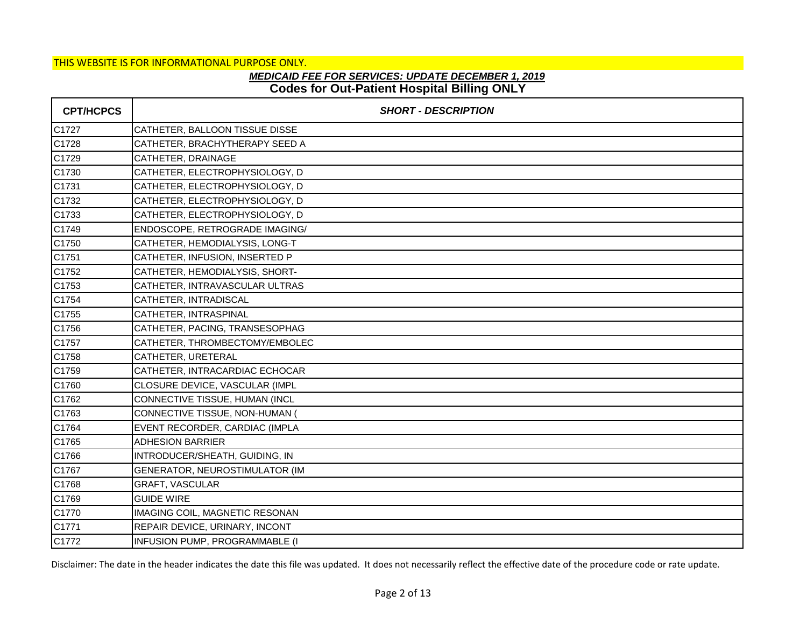# **Codes for Out-Patient Hospital Billing ONLY** *MEDICAID FEE FOR SERVICES: UPDATE DECEMBER 1, 2019*

| <b>CPT/HCPCS</b> | <b>SHORT - DESCRIPTION</b>     |
|------------------|--------------------------------|
| C1727            | CATHETER, BALLOON TISSUE DISSE |
| C1728            | CATHETER, BRACHYTHERAPY SEED A |
| C1729            | CATHETER, DRAINAGE             |
| C1730            | CATHETER, ELECTROPHYSIOLOGY, D |
| C1731            | CATHETER, ELECTROPHYSIOLOGY, D |
| C1732            | CATHETER, ELECTROPHYSIOLOGY, D |
| C1733            | CATHETER, ELECTROPHYSIOLOGY, D |
| C1749            | ENDOSCOPE, RETROGRADE IMAGING/ |
| C1750            | CATHETER, HEMODIALYSIS, LONG-T |
| C1751            | CATHETER, INFUSION, INSERTED P |
| C1752            | CATHETER, HEMODIALYSIS, SHORT- |
| C1753            | CATHETER, INTRAVASCULAR ULTRAS |
| C1754            | CATHETER, INTRADISCAL          |
| C1755            | CATHETER, INTRASPINAL          |
| C1756            | CATHETER, PACING, TRANSESOPHAG |
| C1757            | CATHETER, THROMBECTOMY/EMBOLEC |
| C1758            | CATHETER, URETERAL             |
| C1759            | CATHETER, INTRACARDIAC ECHOCAR |
| C1760            | CLOSURE DEVICE, VASCULAR (IMPL |
| C1762            | CONNECTIVE TISSUE, HUMAN (INCL |
| C1763            | CONNECTIVE TISSUE, NON-HUMAN ( |
| C1764            | EVENT RECORDER, CARDIAC (IMPLA |
| C1765            | <b>ADHESION BARRIER</b>        |
| C1766            | INTRODUCER/SHEATH, GUIDING, IN |
| C1767            | GENERATOR, NEUROSTIMULATOR (IM |
| C1768            | GRAFT, VASCULAR                |
| C1769            | <b>GUIDE WIRE</b>              |
| C1770            | IMAGING COIL, MAGNETIC RESONAN |
| C1771            | REPAIR DEVICE, URINARY, INCONT |
| C1772            | INFUSION PUMP, PROGRAMMABLE (I |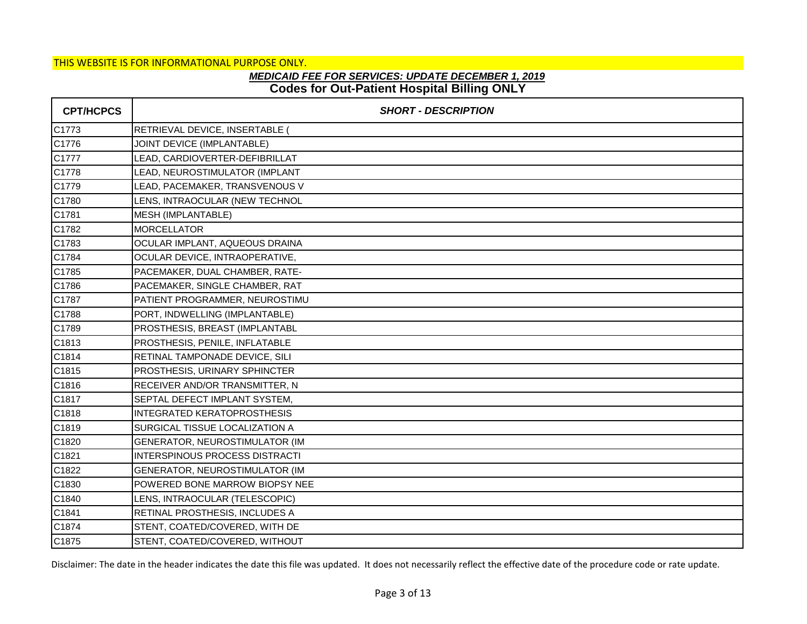# **Codes for Out-Patient Hospital Billing ONLY** *MEDICAID FEE FOR SERVICES: UPDATE DECEMBER 1, 2019*

| <b>CPT/HCPCS</b> | <b>SHORT - DESCRIPTION</b>            |
|------------------|---------------------------------------|
| C1773            | RETRIEVAL DEVICE, INSERTABLE (        |
| C1776            | JOINT DEVICE (IMPLANTABLE)            |
| C1777            | LEAD, CARDIOVERTER-DEFIBRILLAT        |
| C1778            | LEAD, NEUROSTIMULATOR (IMPLANT        |
| C1779            | LEAD, PACEMAKER, TRANSVENOUS V        |
| C1780            | LENS, INTRAOCULAR (NEW TECHNOL        |
| C1781            | MESH (IMPLANTABLE)                    |
| C1782            | <b>MORCELLATOR</b>                    |
| C1783            | OCULAR IMPLANT, AQUEOUS DRAINA        |
| C1784            | OCULAR DEVICE, INTRAOPERATIVE,        |
| C1785            | PACEMAKER, DUAL CHAMBER, RATE-        |
| C1786            | PACEMAKER, SINGLE CHAMBER, RAT        |
| C1787            | PATIENT PROGRAMMER, NEUROSTIMU        |
| C1788            | PORT, INDWELLING (IMPLANTABLE)        |
| C1789            | PROSTHESIS, BREAST (IMPLANTABL        |
| C1813            | PROSTHESIS, PENILE, INFLATABLE        |
| C1814            | RETINAL TAMPONADE DEVICE, SILI        |
| C1815            | PROSTHESIS, URINARY SPHINCTER         |
| C1816            | RECEIVER AND/OR TRANSMITTER, N        |
| C1817            | SEPTAL DEFECT IMPLANT SYSTEM,         |
| C1818            | <b>INTEGRATED KERATOPROSTHESIS</b>    |
| C1819            | SURGICAL TISSUE LOCALIZATION A        |
| C1820            | GENERATOR, NEUROSTIMULATOR (IM        |
| C1821            | <b>INTERSPINOUS PROCESS DISTRACTI</b> |
| C1822            | GENERATOR, NEUROSTIMULATOR (IM        |
| C1830            | POWERED BONE MARROW BIOPSY NEE        |
| C1840            | LENS, INTRAOCULAR (TELESCOPIC)        |
| C1841            | RETINAL PROSTHESIS, INCLUDES A        |
| C1874            | STENT, COATED/COVERED, WITH DE        |
| C1875            | STENT, COATED/COVERED, WITHOUT        |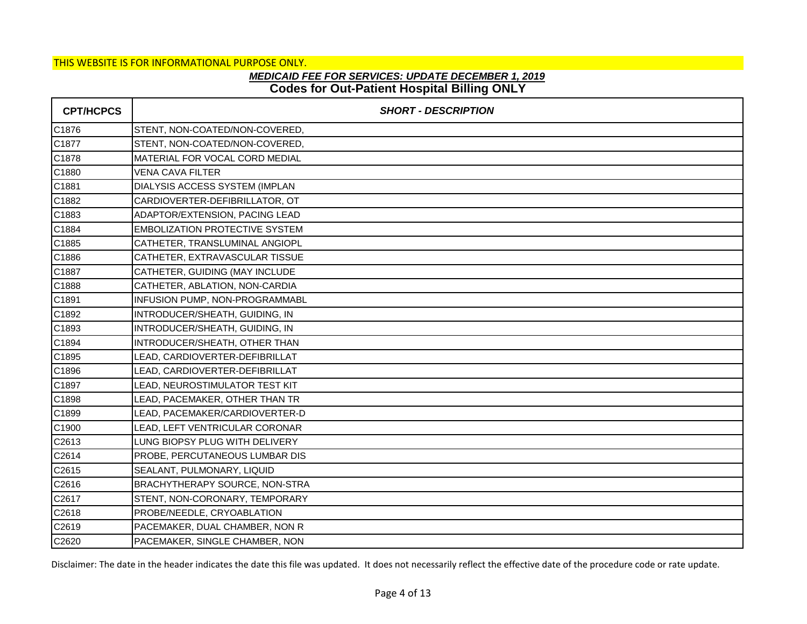# **Codes for Out-Patient Hospital Billing ONLY** *MEDICAID FEE FOR SERVICES: UPDATE DECEMBER 1, 2019*

| <b>CPT/HCPCS</b> | <b>SHORT - DESCRIPTION</b>            |
|------------------|---------------------------------------|
| C1876            | STENT, NON-COATED/NON-COVERED,        |
| C1877            | STENT, NON-COATED/NON-COVERED,        |
| C1878            | MATERIAL FOR VOCAL CORD MEDIAL        |
| C1880            | <b>VENA CAVA FILTER</b>               |
| C1881            | DIALYSIS ACCESS SYSTEM (IMPLAN        |
| C1882            | CARDIOVERTER-DEFIBRILLATOR, OT        |
| C1883            | ADAPTOR/EXTENSION, PACING LEAD        |
| C1884            | <b>EMBOLIZATION PROTECTIVE SYSTEM</b> |
| C1885            | CATHETER, TRANSLUMINAL ANGIOPL        |
| C1886            | CATHETER, EXTRAVASCULAR TISSUE        |
| C1887            | CATHETER, GUIDING (MAY INCLUDE        |
| C1888            | CATHETER, ABLATION, NON-CARDIA        |
| C1891            | INFUSION PUMP, NON-PROGRAMMABL        |
| C1892            | INTRODUCER/SHEATH, GUIDING, IN        |
| C1893            | INTRODUCER/SHEATH, GUIDING, IN        |
| C1894            | INTRODUCER/SHEATH, OTHER THAN         |
| C1895            | LEAD, CARDIOVERTER-DEFIBRILLAT        |
| C1896            | LEAD, CARDIOVERTER-DEFIBRILLAT        |
| C1897            | LEAD, NEUROSTIMULATOR TEST KIT        |
| C1898            | LEAD, PACEMAKER, OTHER THAN TR        |
| C1899            | LEAD, PACEMAKER/CARDIOVERTER-D        |
| C1900            | LEAD, LEFT VENTRICULAR CORONAR        |
| C2613            | LUNG BIOPSY PLUG WITH DELIVERY        |
| C2614            | PROBE, PERCUTANEOUS LUMBAR DIS        |
| C2615            | SEALANT, PULMONARY, LIQUID            |
| C2616            | BRACHYTHERAPY SOURCE, NON-STRA        |
| C2617            | STENT, NON-CORONARY, TEMPORARY        |
| C2618            | PROBE/NEEDLE, CRYOABLATION            |
| C2619            | PACEMAKER, DUAL CHAMBER, NON R        |
| C2620            | PACEMAKER, SINGLE CHAMBER, NON        |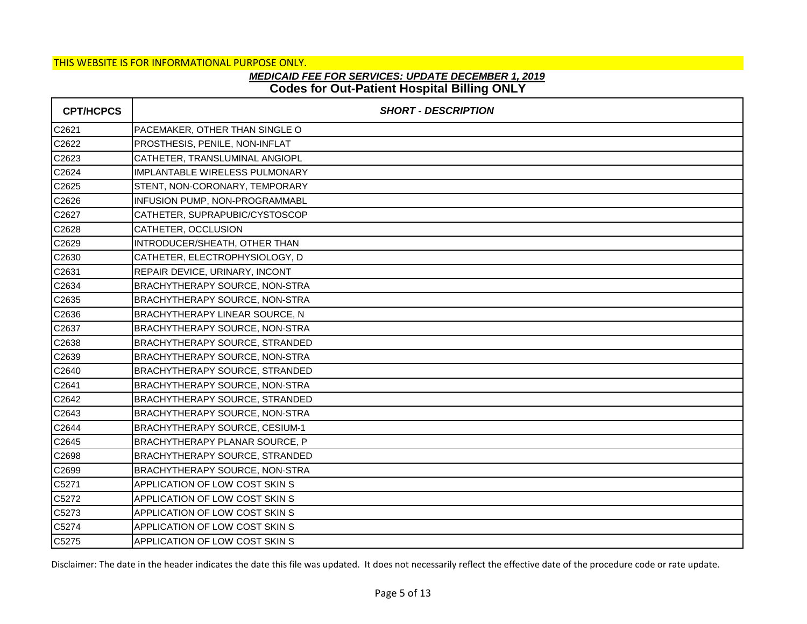## **Codes for Out-Patient Hospital Billing ONLY** *MEDICAID FEE FOR SERVICES: UPDATE DECEMBER 1, 2019*

| <b>CPT/HCPCS</b> | <b>SHORT - DESCRIPTION</b>            |
|------------------|---------------------------------------|
| C2621            | PACEMAKER, OTHER THAN SINGLE O        |
| C2622            | PROSTHESIS, PENILE, NON-INFLAT        |
| C2623            | CATHETER, TRANSLUMINAL ANGIOPL        |
| C2624            | IMPLANTABLE WIRELESS PULMONARY        |
| C2625            | STENT, NON-CORONARY, TEMPORARY        |
| C2626            | INFUSION PUMP, NON-PROGRAMMABL        |
| C2627            | CATHETER, SUPRAPUBIC/CYSTOSCOP        |
| C2628            | CATHETER, OCCLUSION                   |
| C2629            | INTRODUCER/SHEATH, OTHER THAN         |
| C2630            | CATHETER, ELECTROPHYSIOLOGY, D        |
| C2631            | REPAIR DEVICE, URINARY, INCONT        |
| C2634            | BRACHYTHERAPY SOURCE, NON-STRA        |
| C2635            | BRACHYTHERAPY SOURCE, NON-STRA        |
| C2636            | <b>BRACHYTHERAPY LINEAR SOURCE, N</b> |
| C2637            | BRACHYTHERAPY SOURCE, NON-STRA        |
| C2638            | <b>BRACHYTHERAPY SOURCE, STRANDED</b> |
| C2639            | BRACHYTHERAPY SOURCE, NON-STRA        |
| C2640            | <b>BRACHYTHERAPY SOURCE, STRANDED</b> |
| C2641            | BRACHYTHERAPY SOURCE, NON-STRA        |
| C2642            | <b>BRACHYTHERAPY SOURCE, STRANDED</b> |
| C2643            | BRACHYTHERAPY SOURCE, NON-STRA        |
| C2644            | BRACHYTHERAPY SOURCE, CESIUM-1        |
| C2645            | <b>BRACHYTHERAPY PLANAR SOURCE, P</b> |
| C2698            | <b>BRACHYTHERAPY SOURCE, STRANDED</b> |
| C2699            | BRACHYTHERAPY SOURCE, NON-STRA        |
| C5271            | APPLICATION OF LOW COST SKIN S        |
| C5272            | APPLICATION OF LOW COST SKIN S        |
| C5273            | APPLICATION OF LOW COST SKIN S        |
| C5274            | APPLICATION OF LOW COST SKIN S        |
| C5275            | APPLICATION OF LOW COST SKIN S        |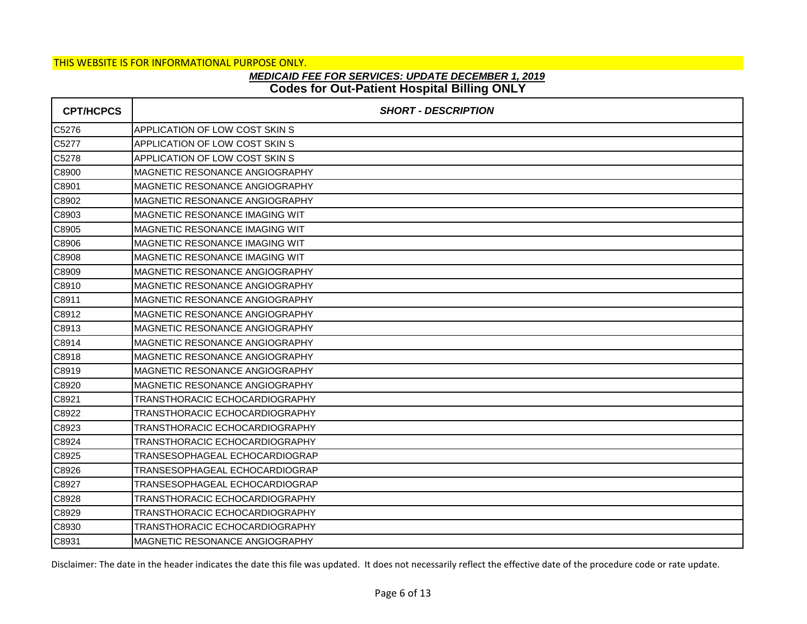# **Codes for Out-Patient Hospital Billing ONLY** *MEDICAID FEE FOR SERVICES: UPDATE DECEMBER 1, 2019*

| <b>CPT/HCPCS</b> | <b>SHORT - DESCRIPTION</b>            |
|------------------|---------------------------------------|
| C5276            | APPLICATION OF LOW COST SKIN S        |
| C5277            | APPLICATION OF LOW COST SKIN S        |
| C5278            | APPLICATION OF LOW COST SKIN S        |
| C8900            | MAGNETIC RESONANCE ANGIOGRAPHY        |
| C8901            | MAGNETIC RESONANCE ANGIOGRAPHY        |
| C8902            | <b>MAGNETIC RESONANCE ANGIOGRAPHY</b> |
| C8903            | MAGNETIC RESONANCE IMAGING WIT        |
| C8905            | MAGNETIC RESONANCE IMAGING WIT        |
| C8906            | MAGNETIC RESONANCE IMAGING WIT        |
| C8908            | <b>MAGNETIC RESONANCE IMAGING WIT</b> |
| C8909            | MAGNETIC RESONANCE ANGIOGRAPHY        |
| C8910            | MAGNETIC RESONANCE ANGIOGRAPHY        |
| C8911            | <b>MAGNETIC RESONANCE ANGIOGRAPHY</b> |
| C8912            | <b>MAGNETIC RESONANCE ANGIOGRAPHY</b> |
| C8913            | MAGNETIC RESONANCE ANGIOGRAPHY        |
| C8914            | MAGNETIC RESONANCE ANGIOGRAPHY        |
| C8918            | MAGNETIC RESONANCE ANGIOGRAPHY        |
| C8919            | <b>MAGNETIC RESONANCE ANGIOGRAPHY</b> |
| C8920            | MAGNETIC RESONANCE ANGIOGRAPHY        |
| C8921            | <b>TRANSTHORACIC ECHOCARDIOGRAPHY</b> |
| C8922            | TRANSTHORACIC ECHOCARDIOGRAPHY        |
| C8923            | TRANSTHORACIC ECHOCARDIOGRAPHY        |
| C8924            | TRANSTHORACIC ECHOCARDIOGRAPHY        |
| C8925            | TRANSESOPHAGEAL ECHOCARDIOGRAP        |
| C8926            | TRANSESOPHAGEAL ECHOCARDIOGRAP        |
| C8927            | TRANSESOPHAGEAL ECHOCARDIOGRAP        |
| C8928            | TRANSTHORACIC ECHOCARDIOGRAPHY        |
| C8929            | TRANSTHORACIC ECHOCARDIOGRAPHY        |
| C8930            | TRANSTHORACIC ECHOCARDIOGRAPHY        |
| C8931            | <b>MAGNETIC RESONANCE ANGIOGRAPHY</b> |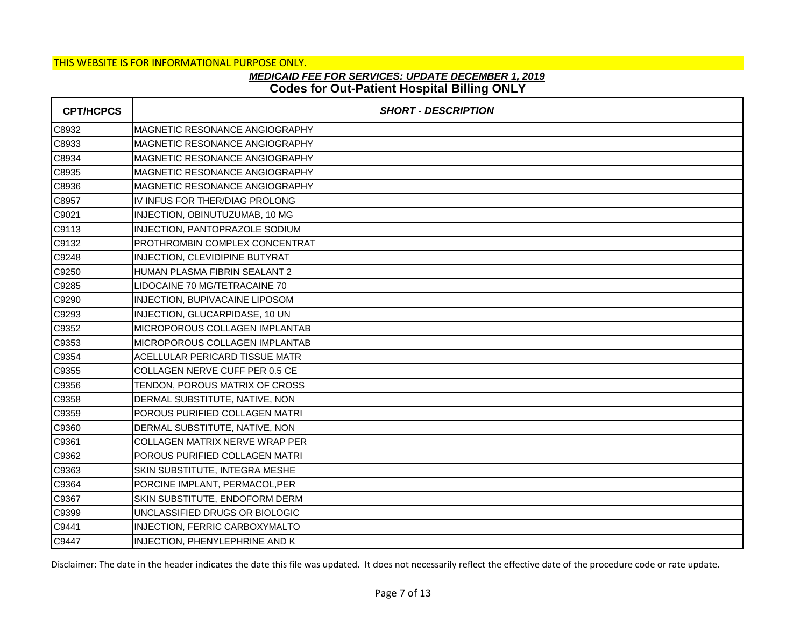# **Codes for Out-Patient Hospital Billing ONLY** *MEDICAID FEE FOR SERVICES: UPDATE DECEMBER 1, 2019*

| <b>CPT/HCPCS</b> | <b>SHORT - DESCRIPTION</b>            |
|------------------|---------------------------------------|
| C8932            | MAGNETIC RESONANCE ANGIOGRAPHY        |
| C8933            | MAGNETIC RESONANCE ANGIOGRAPHY        |
| C8934            | MAGNETIC RESONANCE ANGIOGRAPHY        |
| C8935            | MAGNETIC RESONANCE ANGIOGRAPHY        |
| C8936            | <b>MAGNETIC RESONANCE ANGIOGRAPHY</b> |
| C8957            | IV INFUS FOR THER/DIAG PROLONG        |
| C9021            | INJECTION, OBINUTUZUMAB, 10 MG        |
| C9113            | INJECTION, PANTOPRAZOLE SODIUM        |
| C9132            | <b>PROTHROMBIN COMPLEX CONCENTRAT</b> |
| C9248            | INJECTION, CLEVIDIPINE BUTYRAT        |
| C9250            | HUMAN PLASMA FIBRIN SEALANT 2         |
| C9285            | LIDOCAINE 70 MG/TETRACAINE 70         |
| C9290            | INJECTION, BUPIVACAINE LIPOSOM        |
| C9293            | INJECTION, GLUCARPIDASE, 10 UN        |
| C9352            | MICROPOROUS COLLAGEN IMPLANTAB        |
| C9353            | <b>MICROPOROUS COLLAGEN IMPLANTAB</b> |
| C9354            | ACELLULAR PERICARD TISSUE MATR        |
| C9355            | COLLAGEN NERVE CUFF PER 0.5 CE        |
| C9356            | TENDON, POROUS MATRIX OF CROSS        |
| C9358            | DERMAL SUBSTITUTE, NATIVE, NON        |
| C9359            | POROUS PURIFIED COLLAGEN MATRI        |
| C9360            | DERMAL SUBSTITUTE, NATIVE, NON        |
| C9361            | <b>COLLAGEN MATRIX NERVE WRAP PER</b> |
| C9362            | POROUS PURIFIED COLLAGEN MATRI        |
| C9363            | SKIN SUBSTITUTE, INTEGRA MESHE        |
| C9364            | PORCINE IMPLANT, PERMACOL, PER        |
| C9367            | SKIN SUBSTITUTE, ENDOFORM DERM        |
| C9399            | UNCLASSIFIED DRUGS OR BIOLOGIC        |
| C9441            | <b>INJECTION, FERRIC CARBOXYMALTO</b> |
| C9447            | INJECTION, PHENYLEPHRINE AND K        |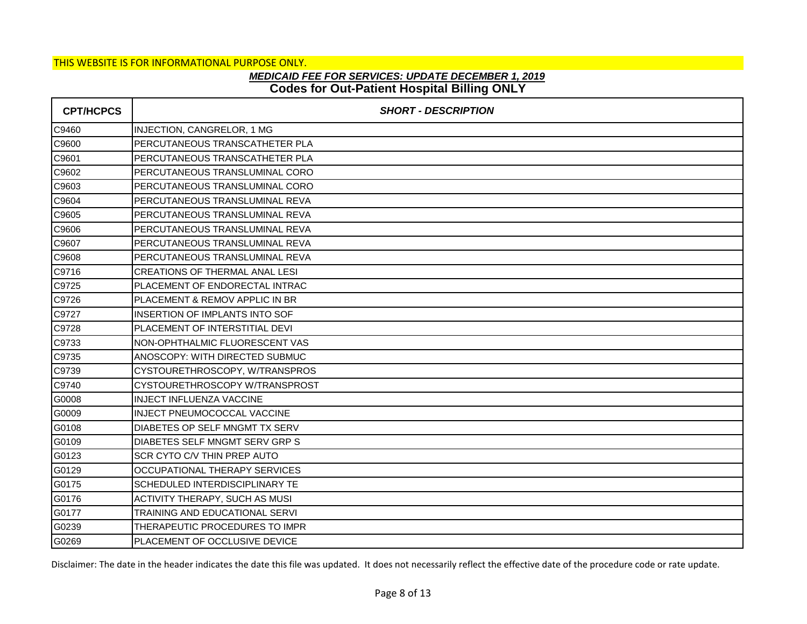# **Codes for Out-Patient Hospital Billing ONLY** *MEDICAID FEE FOR SERVICES: UPDATE DECEMBER 1, 2019*

| <b>CPT/HCPCS</b> | <b>SHORT - DESCRIPTION</b>            |
|------------------|---------------------------------------|
| C9460            | INJECTION, CANGRELOR, 1 MG            |
| C9600            | PERCUTANEOUS TRANSCATHETER PLA        |
| C9601            | PERCUTANEOUS TRANSCATHETER PLA        |
| C9602            | PERCUTANEOUS TRANSLUMINAL CORO        |
| C9603            | PERCUTANEOUS TRANSLUMINAL CORO        |
| C9604            | PERCUTANEOUS TRANSLUMINAL REVA        |
| C9605            | PERCUTANEOUS TRANSLUMINAL REVA        |
| C9606            | PERCUTANEOUS TRANSLUMINAL REVA        |
| C9607            | PERCUTANEOUS TRANSLUMINAL REVA        |
| C9608            | PERCUTANEOUS TRANSLUMINAL REVA        |
| C9716            | <b>CREATIONS OF THERMAL ANAL LESI</b> |
| C9725            | PLACEMENT OF ENDORECTAL INTRAC        |
| C9726            | PLACEMENT & REMOV APPLIC IN BR        |
| C9727            | INSERTION OF IMPLANTS INTO SOF        |
| C9728            | PLACEMENT OF INTERSTITIAL DEVI        |
| C9733            | NON-OPHTHALMIC FLUORESCENT VAS        |
| C9735            | ANOSCOPY: WITH DIRECTED SUBMUC        |
| C9739            | CYSTOURETHROSCOPY, W/TRANSPROS        |
| C9740            | CYSTOURETHROSCOPY W/TRANSPROST        |
| G0008            | <b>INJECT INFLUENZA VACCINE</b>       |
| G0009            | INJECT PNEUMOCOCCAL VACCINE           |
| G0108            | DIABETES OP SELF MNGMT TX SERV        |
| G0109            | DIABETES SELF MNGMT SERV GRP S        |
| G0123            | SCR CYTO C/V THIN PREP AUTO           |
| G0129            | OCCUPATIONAL THERAPY SERVICES         |
| G0175            | SCHEDULED INTERDISCIPLINARY TE        |
| G0176            | ACTIVITY THERAPY, SUCH AS MUSI        |
| G0177            | <b>TRAINING AND EDUCATIONAL SERVI</b> |
| G0239            | THERAPEUTIC PROCEDURES TO IMPR        |
| G0269            | PLACEMENT OF OCCLUSIVE DEVICE         |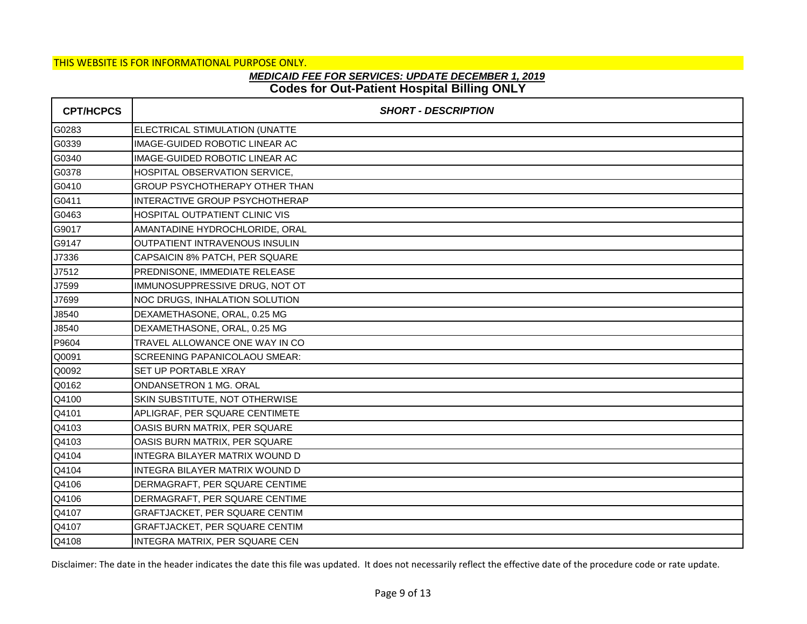## **Codes for Out-Patient Hospital Billing ONLY** *MEDICAID FEE FOR SERVICES: UPDATE DECEMBER 1, 2019*

| <b>CPT/HCPCS</b> | <b>SHORT - DESCRIPTION</b>            |
|------------------|---------------------------------------|
| G0283            | ELECTRICAL STIMULATION (UNATTE        |
| G0339            | IMAGE-GUIDED ROBOTIC LINEAR AC        |
| G0340            | IMAGE-GUIDED ROBOTIC LINEAR AC        |
| G0378            | HOSPITAL OBSERVATION SERVICE,         |
| G0410            | GROUP PSYCHOTHERAPY OTHER THAN        |
| G0411            | INTERACTIVE GROUP PSYCHOTHERAP        |
| G0463            | HOSPITAL OUTPATIENT CLINIC VIS        |
| G9017            | AMANTADINE HYDROCHLORIDE, ORAL        |
| G9147            | OUTPATIENT INTRAVENOUS INSULIN        |
| J7336            | CAPSAICIN 8% PATCH, PER SQUARE        |
| J7512            | PREDNISONE, IMMEDIATE RELEASE         |
| J7599            | IMMUNOSUPPRESSIVE DRUG, NOT OT        |
| J7699            | NOC DRUGS, INHALATION SOLUTION        |
| J8540            | DEXAMETHASONE, ORAL, 0.25 MG          |
| J8540            | DEXAMETHASONE, ORAL, 0.25 MG          |
| P9604            | TRAVEL ALLOWANCE ONE WAY IN CO        |
| Q0091            | SCREENING PAPANICOLAOU SMEAR:         |
| Q0092            | SET UP PORTABLE XRAY                  |
| Q0162            | ONDANSETRON 1 MG. ORAL                |
| Q4100            | SKIN SUBSTITUTE, NOT OTHERWISE        |
| Q4101            | APLIGRAF, PER SQUARE CENTIMETE        |
| Q4103            | OASIS BURN MATRIX, PER SQUARE         |
| Q4103            | OASIS BURN MATRIX, PER SQUARE         |
| Q4104            | INTEGRA BILAYER MATRIX WOUND D        |
| Q4104            | INTEGRA BILAYER MATRIX WOUND D        |
| Q4106            | DERMAGRAFT, PER SQUARE CENTIME        |
| Q4106            | DERMAGRAFT, PER SQUARE CENTIME        |
| Q4107            | <b>GRAFTJACKET, PER SQUARE CENTIM</b> |
| Q4107            | <b>GRAFTJACKET, PER SQUARE CENTIM</b> |
| Q4108            | INTEGRA MATRIX, PER SQUARE CEN        |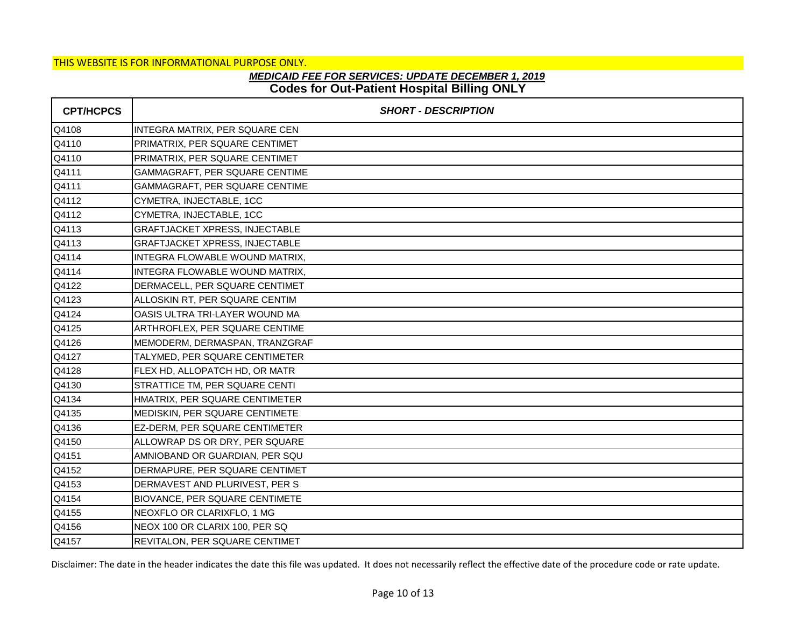## **Codes for Out-Patient Hospital Billing ONLY** *MEDICAID FEE FOR SERVICES: UPDATE DECEMBER 1, 2019*

| <b>CPT/HCPCS</b> | <b>SHORT - DESCRIPTION</b>            |
|------------------|---------------------------------------|
| Q4108            | INTEGRA MATRIX, PER SQUARE CEN        |
| Q4110            | PRIMATRIX, PER SQUARE CENTIMET        |
| Q4110            | PRIMATRIX, PER SQUARE CENTIMET        |
| Q4111            | GAMMAGRAFT, PER SQUARE CENTIME        |
| Q4111            | GAMMAGRAFT, PER SQUARE CENTIME        |
| Q4112            | CYMETRA, INJECTABLE, 1CC              |
| Q4112            | CYMETRA, INJECTABLE, 1CC              |
| Q4113            | GRAFTJACKET XPRESS, INJECTABLE        |
| Q4113            | <b>GRAFTJACKET XPRESS, INJECTABLE</b> |
| Q4114            | INTEGRA FLOWABLE WOUND MATRIX,        |
| Q4114            | INTEGRA FLOWABLE WOUND MATRIX,        |
| Q4122            | DERMACELL, PER SQUARE CENTIMET        |
| Q4123            | ALLOSKIN RT, PER SQUARE CENTIM        |
| Q4124            | OASIS ULTRA TRI-LAYER WOUND MA        |
| Q4125            | ARTHROFLEX, PER SQUARE CENTIME        |
| Q4126            | MEMODERM, DERMASPAN, TRANZGRAF        |
| Q4127            | TALYMED, PER SQUARE CENTIMETER        |
| Q4128            | FLEX HD, ALLOPATCH HD, OR MATR        |
| Q4130            | STRATTICE TM, PER SQUARE CENTI        |
| Q4134            | HMATRIX, PER SQUARE CENTIMETER        |
| Q4135            | MEDISKIN, PER SQUARE CENTIMETE        |
| Q4136            | EZ-DERM, PER SQUARE CENTIMETER        |
| Q4150            | ALLOWRAP DS OR DRY, PER SQUARE        |
| Q4151            | AMNIOBAND OR GUARDIAN, PER SQU        |
| Q4152            | DERMAPURE, PER SQUARE CENTIMET        |
| Q4153            | DERMAVEST AND PLURIVEST, PER S        |
| Q4154            | <b>BIOVANCE, PER SQUARE CENTIMETE</b> |
| Q4155            | NEOXFLO OR CLARIXFLO, 1 MG            |
| Q4156            | NEOX 100 OR CLARIX 100, PER SQ        |
| Q4157            | REVITALON, PER SQUARE CENTIMET        |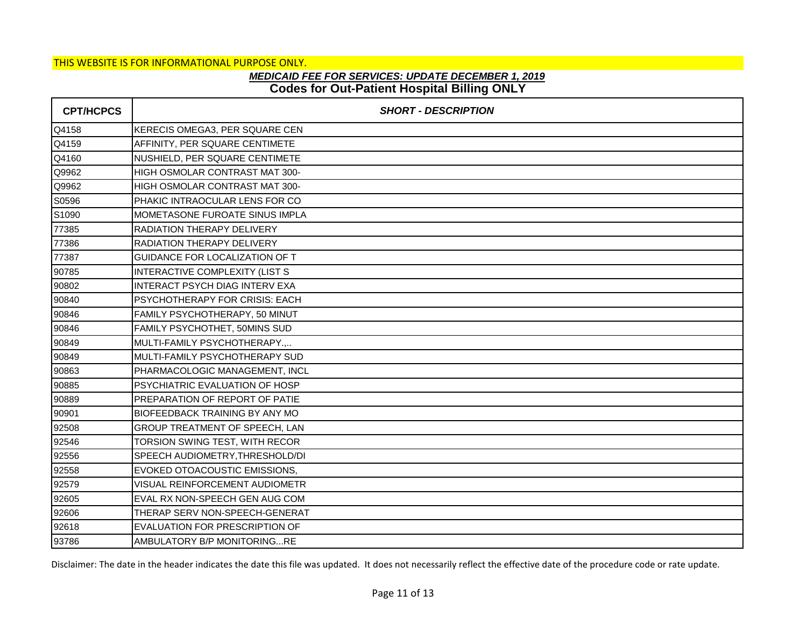## **Codes for Out-Patient Hospital Billing ONLY** *MEDICAID FEE FOR SERVICES: UPDATE DECEMBER 1, 2019*

| <b>CPT/HCPCS</b> | <b>SHORT - DESCRIPTION</b>            |
|------------------|---------------------------------------|
| Q4158            | KERECIS OMEGA3, PER SQUARE CEN        |
| Q4159            | AFFINITY, PER SQUARE CENTIMETE        |
| Q4160            | NUSHIELD, PER SQUARE CENTIMETE        |
| Q9962            | HIGH OSMOLAR CONTRAST MAT 300-        |
| Q9962            | HIGH OSMOLAR CONTRAST MAT 300-        |
| S0596            | PHAKIC INTRAOCULAR LENS FOR CO        |
| S1090            | MOMETASONE FUROATE SINUS IMPLA        |
| 77385            | RADIATION THERAPY DELIVERY            |
| 77386            | <b>RADIATION THERAPY DELIVERY</b>     |
| 77387            | <b>GUIDANCE FOR LOCALIZATION OF T</b> |
| 90785            | INTERACTIVE COMPLEXITY (LIST S        |
| 90802            | <b>INTERACT PSYCH DIAG INTERV EXA</b> |
| 90840            | PSYCHOTHERAPY FOR CRISIS: EACH        |
| 90846            | FAMILY PSYCHOTHERAPY, 50 MINUT        |
| 90846            | FAMILY PSYCHOTHET, 50MINS SUD         |
| 90849            | MULTI-FAMILY PSYCHOTHERAPY.,          |
| 90849            | MULTI-FAMILY PSYCHOTHERAPY SUD        |
| 90863            | PHARMACOLOGIC MANAGEMENT, INCL        |
| 90885            | PSYCHIATRIC EVALUATION OF HOSP        |
| 90889            | PREPARATION OF REPORT OF PATIE        |
| 90901            | <b>BIOFEEDBACK TRAINING BY ANY MO</b> |
| 92508            | GROUP TREATMENT OF SPEECH, LAN        |
| 92546            | TORSION SWING TEST, WITH RECOR        |
| 92556            | SPEECH AUDIOMETRY, THRESHOLD/DI       |
| 92558            | EVOKED OTOACOUSTIC EMISSIONS,         |
| 92579            | VISUAL REINFORCEMENT AUDIOMETR        |
| 92605            | EVAL RX NON-SPEECH GEN AUG COM        |
| 92606            | THERAP SERV NON-SPEECH-GENERAT        |
| 92618            | EVALUATION FOR PRESCRIPTION OF        |
| 93786            | AMBULATORY B/P MONITORINGRE           |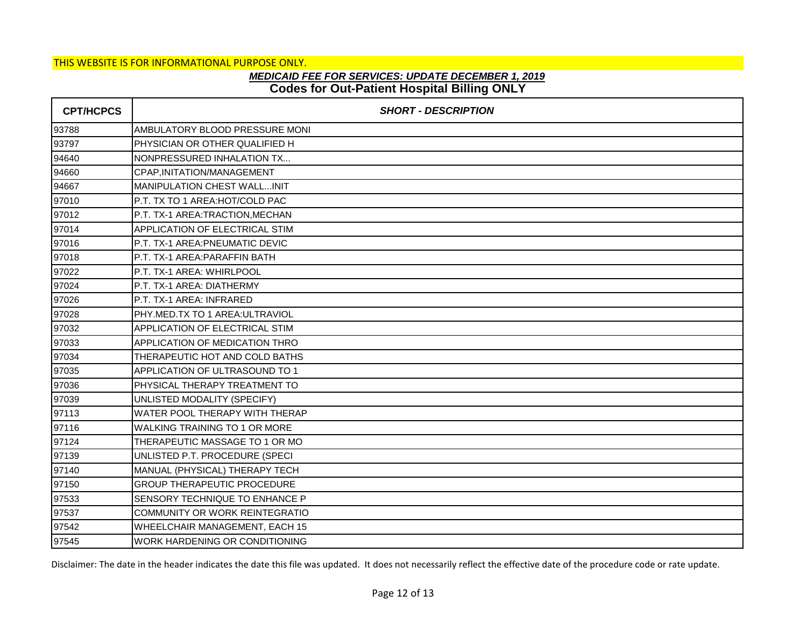## **Codes for Out-Patient Hospital Billing ONLY** *MEDICAID FEE FOR SERVICES: UPDATE DECEMBER 1, 2019*

| <b>CPT/HCPCS</b> | <b>SHORT - DESCRIPTION</b>           |
|------------------|--------------------------------------|
| 93788            | AMBULATORY BLOOD PRESSURE MONI       |
| 93797            | PHYSICIAN OR OTHER QUALIFIED H       |
| 94640            | NONPRESSURED INHALATION TX           |
| 94660            | CPAP, INITATION/MANAGEMENT           |
| 94667            | <b>MANIPULATION CHEST WALLINIT</b>   |
| 97010            | P.T. TX TO 1 AREA:HOT/COLD PAC       |
| 97012            | P.T. TX-1 AREA:TRACTION, MECHAN      |
| 97014            | APPLICATION OF ELECTRICAL STIM       |
| 97016            | P.T. TX-1 AREA: PNEUMATIC DEVIC      |
| 97018            | P.T. TX-1 AREA:PARAFFIN BATH         |
| 97022            | P.T. TX-1 AREA: WHIRLPOOL            |
| 97024            | P.T. TX-1 AREA: DIATHERMY            |
| 97026            | P.T. TX-1 AREA: INFRARED             |
| 97028            | PHY.MED.TX TO 1 AREA:ULTRAVIOL       |
| 97032            | APPLICATION OF ELECTRICAL STIM       |
| 97033            | APPLICATION OF MEDICATION THRO       |
| 97034            | THERAPEUTIC HOT AND COLD BATHS       |
| 97035            | APPLICATION OF ULTRASOUND TO 1       |
| 97036            | PHYSICAL THERAPY TREATMENT TO        |
| 97039            | UNLISTED MODALITY (SPECIFY)          |
| 97113            | WATER POOL THERAPY WITH THERAP       |
| 97116            | <b>WALKING TRAINING TO 1 OR MORE</b> |
| 97124            | THERAPEUTIC MASSAGE TO 1 OR MO       |
| 97139            | UNLISTED P.T. PROCEDURE (SPECI       |
| 97140            | MANUAL (PHYSICAL) THERAPY TECH       |
| 97150            | <b>GROUP THERAPEUTIC PROCEDURE</b>   |
| 97533            | SENSORY TECHNIQUE TO ENHANCE P       |
| 97537            | COMMUNITY OR WORK REINTEGRATIO       |
| 97542            | WHEELCHAIR MANAGEMENT, EACH 15       |
| 97545            | WORK HARDENING OR CONDITIONING       |